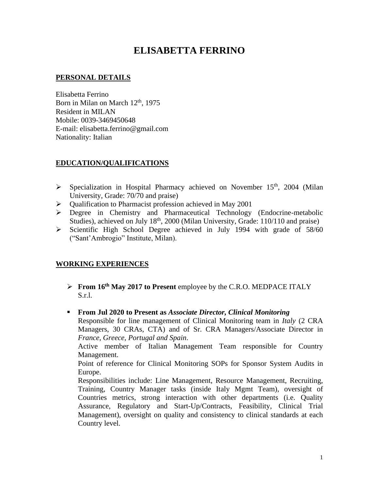# **ELISABETTA FERRINO**

## **PERSONAL DETAILS**

Elisabetta Ferrino Born in Milan on March  $12<sup>th</sup>$ , 1975 Resident in MILAN Mobile: 0039-3469450648 E-mail: elisabetta.ferrino@gmail.com Nationality: Italian

## **EDUCATION/QUALIFICATIONS**

- $\triangleright$  Specialization in Hospital Pharmacy achieved on November 15<sup>th</sup>, 2004 (Milan University, Grade: 70/70 and praise)
- ➢ Qualification to Pharmacist profession achieved in May 2001
- ➢ Degree in Chemistry and Pharmaceutical Technology (Endocrine-metabolic Studies), achieved on July 18<sup>th</sup>, 2000 (Milan University, Grade: 110/110 and praise)
- ➢ Scientific High School Degree achieved in July 1994 with grade of 58/60 ("Sant'Ambrogio" Institute, Milan).

# **WORKING EXPERIENCES**

➢ **From 16th May 2017 to Present** employee by the C.R.O. MEDPACE ITALY S.r.l.

#### ▪ **From Jul 2020 to Present as** *Associate Director, Clinical Monitoring*

Responsible for line management of Clinical Monitoring team in *Italy* (2 CRA Managers, 30 CRAs, CTA) and of Sr. CRA Managers/Associate Director in *France, Greece, Portugal and Spain*.

Active member of Italian Management Team responsible for Country Management.

Point of reference for Clinical Monitoring SOPs for Sponsor System Audits in Europe.

Responsibilities include: Line Management, Resource Management, Recruiting, Training, Country Manager tasks (inside Italy Mgmt Team), oversight of Countries metrics, strong interaction with other departments (i.e. Quality Assurance, Regulatory and Start-Up/Contracts, Feasibility, Clinical Trial Management), oversight on quality and consistency to clinical standards at each Country level.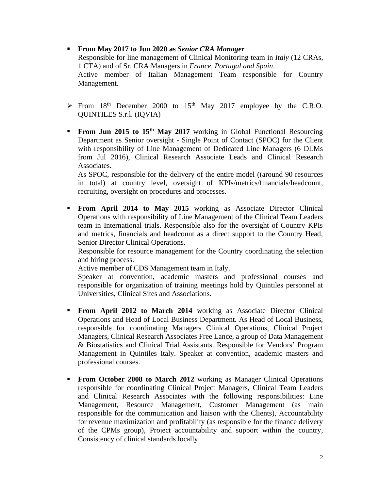#### ▪ **From May 2017 to Jun 2020 as** *Senior CRA Manager* Responsible for line management of Clinical Monitoring team in *Italy* (12 CRAs, 1 CTA) and of Sr. CRA Managers in *France, Portugal and Spain*. Active member of Italian Management Team responsible for Country Management.

- $\triangleright$  From 18<sup>th</sup> December 2000 to 15<sup>th</sup> May 2017 employee by the C.R.O. QUINTILES S.r.l. (IQVIA)
- **From Jun 2015 to 15<sup>th</sup> May 2017** working in Global Functional Resourcing Department as Senior oversight - Single Point of Contact (SPOC) for the Client with responsibility of Line Management of Dedicated Line Managers (6 DLMs from Jul 2016), Clinical Research Associate Leads and Clinical Research Associates.

As SPOC, responsible for the delivery of the entire model ((around 90 resources in total) at country level, oversight of KPIs/metrics/financials/headcount, recruiting, oversight on procedures and processes.

▪ **From April 2014 to May 2015** working as Associate Director Clinical Operations with responsibility of Line Management of the Clinical Team Leaders team in International trials. Responsible also for the oversight of Country KPIs and metrics, financials and headcount as a direct support to the Country Head, Senior Director Clinical Operations.

Responsible for resource management for the Country coordinating the selection and hiring process.

Active member of CDS Management team in Italy.

Speaker at convention, academic masters and professional courses and responsible for organization of training meetings hold by Quintiles personnel at Universities, Clinical Sites and Associations.

- **From April 2012 to March 2014** working as Associate Director Clinical Operations and Head of Local Business Department. As Head of Local Business, responsible for coordinating Managers Clinical Operations, Clinical Project Managers, Clinical Research Associates Free Lance, a group of Data Management & Biostatistics and Clinical Trial Assistants. Responsible for Vendors' Program Management in Quintiles Italy. Speaker at convention, academic masters and professional courses.
- **From October 2008 to March 2012** working as Manager Clinical Operations responsible for coordinating Clinical Project Managers, Clinical Team Leaders and Clinical Research Associates with the following responsibilities: Line Management, Resource Management, Customer Management (as main responsible for the communication and liaison with the Clients), Accountability for revenue maximization and profitability (as responsible for the finance delivery of the CPMs group), Project accountability and support within the country, Consistency of clinical standards locally.